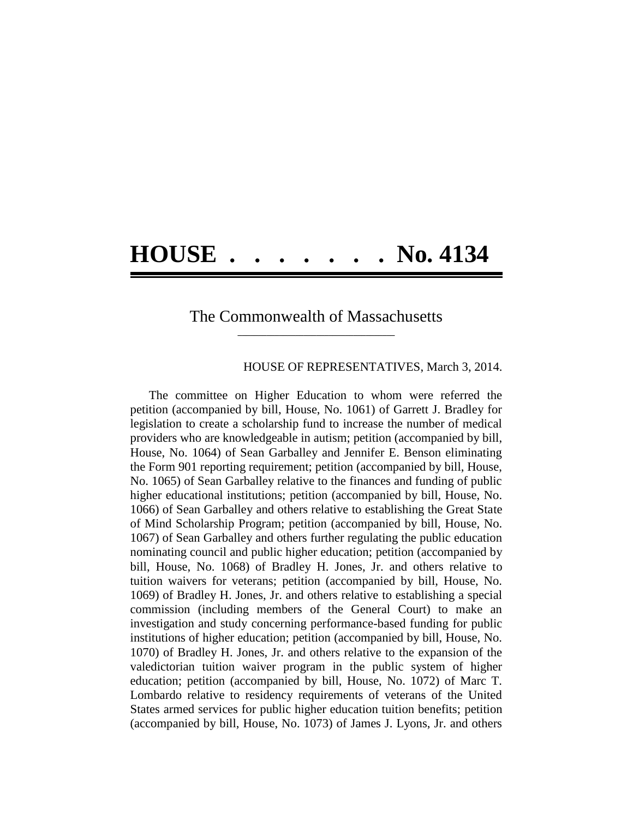## **HOUSE . . . . . . . No. 4134**

## The Commonwealth of Massachusetts **\_\_\_\_\_\_\_\_\_\_\_\_\_\_\_\_\_\_\_\_\_\_\_\_\_\_\_\_\_\_\_\_\_\_\_\_\_\_**

## HOUSE OF REPRESENTATIVES, March 3, 2014.

The committee on Higher Education to whom were referred the petition (accompanied by bill, House, No. 1061) of Garrett J. Bradley for legislation to create a scholarship fund to increase the number of medical providers who are knowledgeable in autism; petition (accompanied by bill, House, No. 1064) of Sean Garballey and Jennifer E. Benson eliminating the Form 901 reporting requirement; petition (accompanied by bill, House, No. 1065) of Sean Garballey relative to the finances and funding of public higher educational institutions; petition (accompanied by bill, House, No. 1066) of Sean Garballey and others relative to establishing the Great State of Mind Scholarship Program; petition (accompanied by bill, House, No. 1067) of Sean Garballey and others further regulating the public education nominating council and public higher education; petition (accompanied by bill, House, No. 1068) of Bradley H. Jones, Jr. and others relative to tuition waivers for veterans; petition (accompanied by bill, House, No. 1069) of Bradley H. Jones, Jr. and others relative to establishing a special commission (including members of the General Court) to make an investigation and study concerning performance-based funding for public institutions of higher education; petition (accompanied by bill, House, No. 1070) of Bradley H. Jones, Jr. and others relative to the expansion of the valedictorian tuition waiver program in the public system of higher education; petition (accompanied by bill, House, No. 1072) of Marc T. Lombardo relative to residency requirements of veterans of the United States armed services for public higher education tuition benefits; petition (accompanied by bill, House, No. 1073) of James J. Lyons, Jr. and others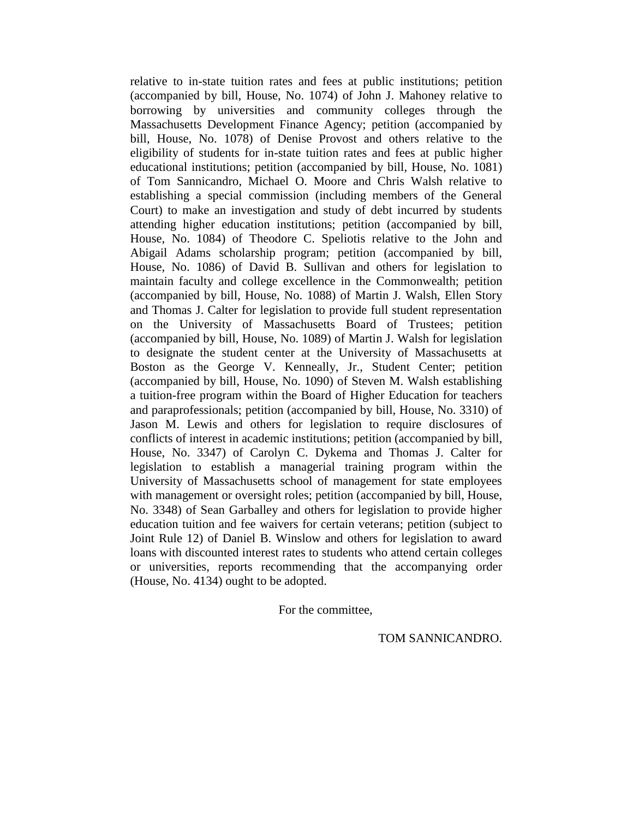relative to in-state tuition rates and fees at public institutions; petition (accompanied by bill, House, No. 1074) of John J. Mahoney relative to borrowing by universities and community colleges through the Massachusetts Development Finance Agency; petition (accompanied by bill, House, No. 1078) of Denise Provost and others relative to the eligibility of students for in-state tuition rates and fees at public higher educational institutions; petition (accompanied by bill, House, No. 1081) of Tom Sannicandro, Michael O. Moore and Chris Walsh relative to establishing a special commission (including members of the General Court) to make an investigation and study of debt incurred by students attending higher education institutions; petition (accompanied by bill, House, No. 1084) of Theodore C. Speliotis relative to the John and Abigail Adams scholarship program; petition (accompanied by bill, House, No. 1086) of David B. Sullivan and others for legislation to maintain faculty and college excellence in the Commonwealth; petition (accompanied by bill, House, No. 1088) of Martin J. Walsh, Ellen Story and Thomas J. Calter for legislation to provide full student representation on the University of Massachusetts Board of Trustees; petition (accompanied by bill, House, No. 1089) of Martin J. Walsh for legislation to designate the student center at the University of Massachusetts at Boston as the George V. Kenneally, Jr., Student Center; petition (accompanied by bill, House, No. 1090) of Steven M. Walsh establishing a tuition-free program within the Board of Higher Education for teachers and paraprofessionals; petition (accompanied by bill, House, No. 3310) of Jason M. Lewis and others for legislation to require disclosures of conflicts of interest in academic institutions; petition (accompanied by bill, House, No. 3347) of Carolyn C. Dykema and Thomas J. Calter for legislation to establish a managerial training program within the University of Massachusetts school of management for state employees with management or oversight roles; petition (accompanied by bill, House, No. 3348) of Sean Garballey and others for legislation to provide higher education tuition and fee waivers for certain veterans; petition (subject to Joint Rule 12) of Daniel B. Winslow and others for legislation to award loans with discounted interest rates to students who attend certain colleges or universities, reports recommending that the accompanying order (House, No. 4134) ought to be adopted.

For the committee,

TOM SANNICANDRO.